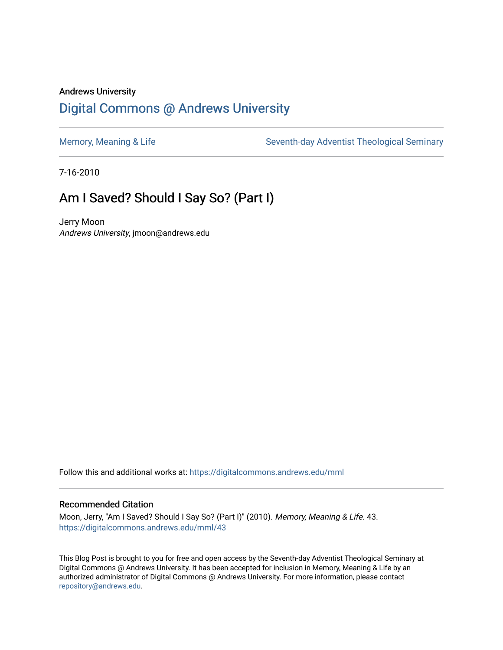## Andrews University [Digital Commons @ Andrews University](https://digitalcommons.andrews.edu/)

[Memory, Meaning & Life](https://digitalcommons.andrews.edu/mml) Seventh-day Adventist Theological Seminary

7-16-2010

# Am I Saved? Should I Say So? (Part I)

Jerry Moon Andrews University, jmoon@andrews.edu

Follow this and additional works at: [https://digitalcommons.andrews.edu/mml](https://digitalcommons.andrews.edu/mml?utm_source=digitalcommons.andrews.edu%2Fmml%2F43&utm_medium=PDF&utm_campaign=PDFCoverPages) 

#### Recommended Citation

Moon, Jerry, "Am I Saved? Should I Say So? (Part I)" (2010). Memory, Meaning & Life. 43. [https://digitalcommons.andrews.edu/mml/43](https://digitalcommons.andrews.edu/mml/43?utm_source=digitalcommons.andrews.edu%2Fmml%2F43&utm_medium=PDF&utm_campaign=PDFCoverPages)

This Blog Post is brought to you for free and open access by the Seventh-day Adventist Theological Seminary at Digital Commons @ Andrews University. It has been accepted for inclusion in Memory, Meaning & Life by an authorized administrator of Digital Commons @ Andrews University. For more information, please contact [repository@andrews.edu](mailto:repository@andrews.edu).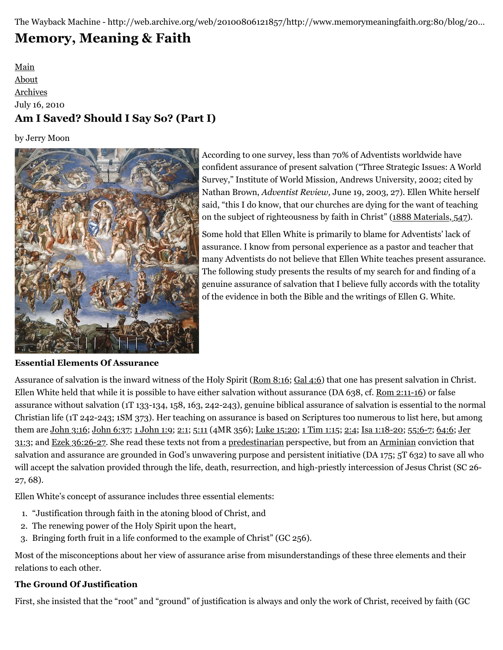The Wayback Machine - http://web.archive.org/web/20100806121857/http://www.memorymeaningfaith.org:80/blog/20…

# **[Memory, Meaning & Faith](http://web.archive.org/web/20100806121857/http://www.memorymeaningfaith.org/blog/)**

[Main](http://web.archive.org/web/20100806121857/http://www.memorymeaningfaith.org/blog) [About](http://web.archive.org/web/20100806121857/http://www.memorymeaningfaith.org/blog/about.html) [Archives](http://web.archive.org/web/20100806121857/http://www.memorymeaningfaith.org/blog/archives.html) July 16, 2010 **Am I Saved? Should I Say So? (Part I)**

by Jerry Moon



According to one survey, less than 70% of Adventists worldwide have confident assurance of present salvation ("Three Strategic Issues: A World Survey," Institute of World Mission, Andrews University, 2002; cited by Nathan Brown, *Adventist Review,* June 19, 2003, 27). Ellen White herself said, "this I do know, that our churches are dying for the want of teaching on the subject of righteousness by faith in Christ" ([1888 Materials,](http://web.archive.org/web/20100806121857/http://www.memorymeaningfaith.org/blog/2010/07/am-saved-should-say-so-part-i.html) [547\)](http://web.archive.org/web/20100806121857/http://egwdatabase.whiteestate.org/nxt/gateway.dll?f=templates$fn=default.htm$vid=default).

Some hold that Ellen White is primarily to blame for Adventists' lack of assurance. I know from personal experience as a pastor and teacher that many Adventists do not believe that Ellen White teaches present assurance. The following study presents the results of my search for and finding of a genuine assurance of salvation that I believe fully accords with the totality of the evidence in both the Bible and the writings of Ellen G. White.

**Essential Elements Of Assurance**

Assurance of salvation is the inward witness of the Holy Spirit ([Rom 8:16](http://web.archive.org/web/20100806121857/http://www.biblestudytools.com/nrs/romans/8-16.html); [Gal 4:6](http://web.archive.org/web/20100806121857/http://www.biblestudytools.com/nrs/galatians/4-6.html)) that one has present salvation in Christ. Ellen White held that while it is possible to have either salvation without assurance (DA 638, cf. [Rom 2:11-16\)](http://web.archive.org/web/20100806121857/http://www.biblestudytools.com/nrs/romans/passage.aspx?q=Romans+2:11-16) or false assurance without salvation (1T 133-134, 158, 163, 242-243), genuine biblical assurance of salvation is essential to the normal Christian life (1T 242-243; 1SM 373). Her teaching on assurance is based on Scriptures too numerous to list here, but among them are [John 3:16](http://web.archive.org/web/20100806121857/http://www.biblestudytools.com/nrs/john/3-16.html); [John 6:37;](http://web.archive.org/web/20100806121857/http://www.biblestudytools.com/nrs/john/6-37.html) [1 John 1:9](http://web.archive.org/web/20100806121857/http://www.biblestudytools.com/nrs/1-john/1-9.html); [2:1](http://web.archive.org/web/20100806121857/http://www.biblestudytools.com/nrs/1-john/2-1.html); [5:11](http://web.archive.org/web/20100806121857/http://www.biblestudytools.com/nrs/1-john/5-11.html) (4MR 356); [Luke 15:20](http://web.archive.org/web/20100806121857/http://www.biblestudytools.com/nrs/luke/15-20.html); [1 Tim 1:15;](http://web.archive.org/web/20100806121857/http://www.biblestudytools.com/nrs/1-timothy/1-15.html) [2:4](http://web.archive.org/web/20100806121857/http://www.biblestudytools.com/nrs/1-timothy/2-4.html); [Isa 1:18-20;](http://web.archive.org/web/20100806121857/http://www.biblestudytools.com/nrs/isaiah/passage.aspx?q=Isaiah+1:18-20) [55:6-7;](http://web.archive.org/web/20100806121857/http://www.biblestudytools.com/nrs/isaiah/passage.aspx?q=Isaiah+55:6-7) [64:6](http://web.archive.org/web/20100806121857/http://www.biblestudytools.com/nrs/isaiah/64-6.html); Jer [31:3; and Ezek 36:26-27. She read these texts not from a predestinarian perspective, but from an Arminian conviction tha](http://web.archive.org/web/20100806121857/http://www.biblestudytools.com/nrs/jeremiah/31-3.html)t salvation and assurance are grounded in God's unwavering purpose and persistent initiative (DA 175; 5T 632) to save all who will accept the salvation provided through the life, death, resurrection, and high-priestly intercession of Jesus Christ (SC 26- 27, 68).

Ellen White's concept of assurance includes three essential elements:

- 1. "Justification through faith in the atoning blood of Christ, and
- 2. The renewing power of the Holy Spirit upon the heart,
- 3. Bringing forth fruit in a life conformed to the example of Christ" (GC 256).

Most of the misconceptions about her view of assurance arise from misunderstandings of these three elements and their relations to each other.

## **The Ground Of Justification**

First, she insisted that the "root" and "ground" of justification is always and only the work of Christ, received by faith (GC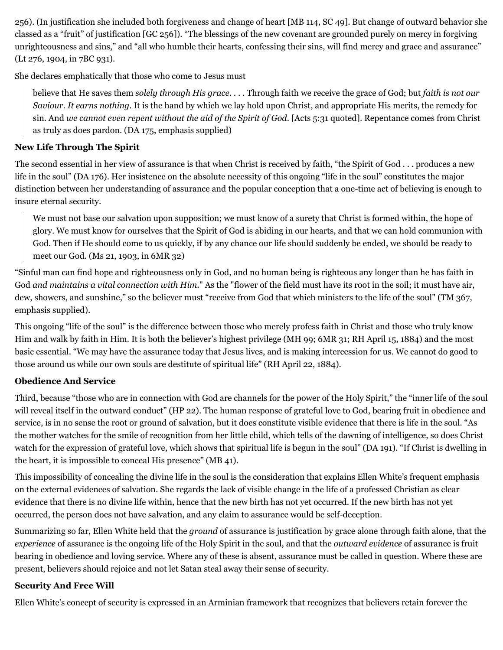256). (In justification she included both forgiveness and change of heart [MB 114, SC 49]. But change of outward behavior she classed as a "fruit" of justification [GC 256]). "The blessings of the new covenant are grounded purely on mercy in forgiving unrighteousness and sins," and "all who humble their hearts, confessing their sins, will find mercy and grace and assurance" (Lt 276, 1904, in 7BC 931).

She declares emphatically that those who come to Jesus must

believe that He saves them *solely through His grace*. . . . Through faith we receive the grace of God; but *faith is not our Saviour. It earns nothing*. It is the hand by which we lay hold upon Christ, and appropriate His merits, the remedy for sin. And *we cannot even repent without the aid of the Spirit of God*. [Acts 5:31 quoted]. Repentance comes from Christ as truly as does pardon. (DA 175, emphasis supplied)

## **New Life Through The Spirit**

The second essential in her view of assurance is that when Christ is received by faith, "the Spirit of God . . . produces a new life in the soul" (DA 176). Her insistence on the absolute necessity of this ongoing "life in the soul" constitutes the major distinction between her understanding of assurance and the popular conception that a one-time act of believing is enough to insure eternal security.

We must not base our salvation upon supposition; we must know of a surety that Christ is formed within, the hope of glory. We must know for ourselves that the Spirit of God is abiding in our hearts, and that we can hold communion with God. Then if He should come to us quickly, if by any chance our life should suddenly be ended, we should be ready to meet our God. (Ms 21, 1903, in 6MR 32)

"Sinful man can find hope and righteousness only in God, and no human being is righteous any longer than he has faith in God *and maintains a vital connection with Him*." As the "flower of the field must have its root in the soil; it must have air, dew, showers, and sunshine," so the believer must "receive from God that which ministers to the life of the soul" (TM 367, emphasis supplied).

This ongoing "life of the soul" is the difference between those who merely profess faith in Christ and those who truly know Him and walk by faith in Him. It is both the believer's highest privilege (MH 99; 6MR 31; RH April 15, 1884) and the most basic essential. "We may have the assurance today that Jesus lives, and is making intercession for us. We cannot do good to those around us while our own souls are destitute of spiritual life" (RH April 22, 1884).

## **Obedience And Service**

Third, because "those who are in connection with God are channels for the power of the Holy Spirit," the "inner life of the soul will reveal itself in the outward conduct" (HP 22). The human response of grateful love to God, bearing fruit in obedience and service, is in no sense the root or ground of salvation, but it does constitute visible evidence that there is life in the soul. "As the mother watches for the smile of recognition from her little child, which tells of the dawning of intelligence, so does Christ watch for the expression of grateful love, which shows that spiritual life is begun in the soul" (DA 191). "If Christ is dwelling in the heart, it is impossible to conceal His presence" (MB 41).

This impossibility of concealing the divine life in the soul is the consideration that explains Ellen White's frequent emphasis on the external evidences of salvation. She regards the lack of visible change in the life of a professed Christian as clear evidence that there is no divine life within, hence that the new birth has not yet occurred. If the new birth has not yet occurred, the person does not have salvation, and any claim to assurance would be self-deception.

Summarizing so far, Ellen White held that the *ground* of assurance is justification by grace alone through faith alone, that the *experience* of assurance is the ongoing life of the Holy Spirit in the soul, and that the *outward evidence* of assurance is fruit bearing in obedience and loving service. Where any of these is absent, assurance must be called in question. Where these are present, believers should rejoice and not let Satan steal away their sense of security.

## **Security And Free Will**

Ellen White's concept of security is expressed in an Arminian framework that recognizes that believers retain forever the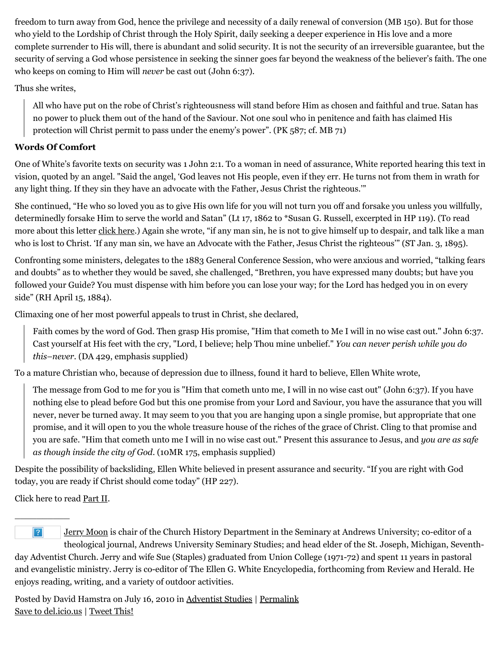freedom to turn away from God, hence the privilege and necessity of a daily renewal of conversion (MB 150). But for those who yield to the Lordship of Christ through the Holy Spirit, daily seeking a deeper experience in His love and a more complete surrender to His will, there is abundant and solid security. It is not the security of an irreversible guarantee, but the security of serving a God whose persistence in seeking the sinner goes far beyond the weakness of the believer's faith. The one who keeps on coming to Him will *never* be cast out (John 6:37).

Thus she writes,

All who have put on the robe of Christ's righteousness will stand before Him as chosen and faithful and true. Satan has no power to pluck them out of the hand of the Saviour. Not one soul who in penitence and faith has claimed His protection will Christ permit to pass under the enemy's power". (PK 587; cf. MB 71)

## **Words Of Comfort**

One of White's favorite texts on security was 1 John 2:1. To a woman in need of assurance, White reported hearing this text in vision, quoted by an angel. "Said the angel, 'God leaves not His people, even if they err. He turns not from them in wrath for any light thing. If they sin they have an advocate with the Father, Jesus Christ the righteous.'"

She continued, "He who so loved you as to give His own life for you will not turn you off and forsake you unless you willfully, determinedly forsake Him to serve the world and Satan" (Lt 17, 1862 to \*Susan G. Russell, excerpted in HP 119). (To read more about this letter [click here.](http://web.archive.org/web/20100806121857/http://www.memorymeaningfaith.org/blog/2010/07/1862-letter-russel-assurance.html)) Again she wrote, "if any man sin, he is not to give himself up to despair, and talk like a man who is lost to Christ. 'If any man sin, we have an Advocate with the Father, Jesus Christ the righteous'" (ST Jan. 3, 1895).

Confronting some ministers, delegates to the 1883 General Conference Session, who were anxious and worried, "talking fears and doubts" as to whether they would be saved, she challenged, "Brethren, you have expressed many doubts; but have you followed your Guide? You must dispense with him before you can lose your way; for the Lord has hedged you in on every side" (RH April 15, 1884).

Climaxing one of her most powerful appeals to trust in Christ, she declared,

Faith comes by the word of God. Then grasp His promise, "Him that cometh to Me I will in no wise cast out." John 6:37. Cast yourself at His feet with the cry, "Lord, I believe; help Thou mine unbelief." *You can never perish while you do this–never.* (DA 429, emphasis supplied)

To a mature Christian who, because of depression due to illness, found it hard to believe, Ellen White wrote,

The message from God to me for you is "Him that cometh unto me, I will in no wise cast out" (John 6:37). If you have nothing else to plead before God but this one promise from your Lord and Saviour, you have the assurance that you will never, never be turned away. It may seem to you that you are hanging upon a single promise, but appropriate that one promise, and it will open to you the whole treasure house of the riches of the grace of Christ. Cling to that promise and you are safe. "Him that cometh unto me I will in no wise cast out." Present this assurance to Jesus, and *you are as safe as though inside the city of God*. (10MR 175, emphasis supplied)

Despite the possibility of backsliding, Ellen White believed in present assurance and security. "If you are right with God today, you are ready if Christ should come today" (HP 227).

Click here to read [Part II](http://web.archive.org/web/20100806121857/http://www.memorymeaningfaith.org/blog/2010/07/am-saved-should-say-so-part-ii.html).

 $\overline{\phantom{a}}$ 

 $|?|$ [Jerry Moon](http://web.archive.org/web/20100806121857/http://www.andrews.edu/%7Ejmoon/) is chair of the Church History Department in the Seminary at Andrews University; co-editor of a theological journal, Andrews University Seminary Studies; and head elder of the St. Joseph, Michigan, Seventhday Adventist Church. Jerry and wife Sue (Staples) graduated from Union College (1971-72) and spent 11 years in pastoral and evangelistic ministry. Jerry is co-editor of The Ellen G. White Encyclopedia, forthcoming from Review and Herald. He enjoys reading, writing, and a variety of outdoor activities.

Posted by David Hamstra on July 16, 2010 in [Adventist Studies](http://web.archive.org/web/20100806121857/http://www.memorymeaningfaith.org/blog/adventist-studies/) | [Permalink](http://web.archive.org/web/20100806121857/http://www.memorymeaningfaith.org/blog/2010/07/am-saved-should-say-so-part-i.html) [Save to del.icio.us](http://web.archive.org/web/20100806121857/http://del.icio.us/post) | [Tweet This!](http://web.archive.org/web/20100806121857/http://twitter.com/home?status=Am%20I%20Saved%3F%20Should%20I%20Say%20So%3F%20(Part%20I)%20http%3A%2F%2Fweb.archive.org%2Fweb%2F20100806121857%2Fhttp%3A%2F%2Fbit.ly%2FcT0BGW)